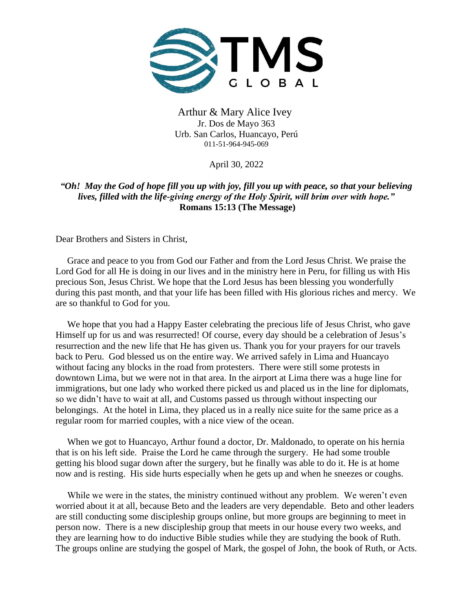

Arthur & Mary Alice Ivey Jr. Dos de Mayo 363 Urb. San Carlos, Huancayo, Perú 011-51-964-945-069

April 30, 2022

*"Oh! May the God of hope fill you up with joy, fill you up with peace, so that your believing lives, filled with the life-giving energy of the Holy Spirit, will brim over with hope."*  **Romans 15:13 (The Message)**

Dear Brothers and Sisters in Christ,

 Grace and peace to you from God our Father and from the Lord Jesus Christ. We praise the Lord God for all He is doing in our lives and in the ministry here in Peru, for filling us with His precious Son, Jesus Christ. We hope that the Lord Jesus has been blessing you wonderfully during this past month, and that your life has been filled with His glorious riches and mercy. We are so thankful to God for you.

 We hope that you had a Happy Easter celebrating the precious life of Jesus Christ, who gave Himself up for us and was resurrected! Of course, every day should be a celebration of Jesus's resurrection and the new life that He has given us. Thank you for your prayers for our travels back to Peru. God blessed us on the entire way. We arrived safely in Lima and Huancayo without facing any blocks in the road from protesters. There were still some protests in downtown Lima, but we were not in that area. In the airport at Lima there was a huge line for immigrations, but one lady who worked there picked us and placed us in the line for diplomats, so we didn't have to wait at all, and Customs passed us through without inspecting our belongings. At the hotel in Lima, they placed us in a really nice suite for the same price as a regular room for married couples, with a nice view of the ocean.

 When we got to Huancayo, Arthur found a doctor, Dr. Maldonado, to operate on his hernia that is on his left side. Praise the Lord he came through the surgery. He had some trouble getting his blood sugar down after the surgery, but he finally was able to do it. He is at home now and is resting. His side hurts especially when he gets up and when he sneezes or coughs.

 While we were in the states, the ministry continued without any problem. We weren't even worried about it at all, because Beto and the leaders are very dependable. Beto and other leaders are still conducting some discipleship groups online, but more groups are beginning to meet in person now. There is a new discipleship group that meets in our house every two weeks, and they are learning how to do inductive Bible studies while they are studying the book of Ruth. The groups online are studying the gospel of Mark, the gospel of John, the book of Ruth, or Acts.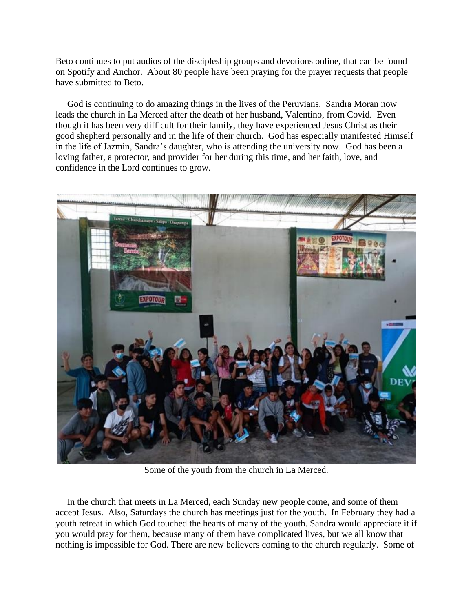Beto continues to put audios of the discipleship groups and devotions online, that can be found on Spotify and Anchor. About 80 people have been praying for the prayer requests that people have submitted to Beto.

 God is continuing to do amazing things in the lives of the Peruvians. Sandra Moran now leads the church in La Merced after the death of her husband, Valentino, from Covid. Even though it has been very difficult for their family, they have experienced Jesus Christ as their good shepherd personally and in the life of their church. God has especially manifested Himself in the life of Jazmin, Sandra's daughter, who is attending the university now. God has been a loving father, a protector, and provider for her during this time, and her faith, love, and confidence in the Lord continues to grow.



Some of the youth from the church in La Merced.

 In the church that meets in La Merced, each Sunday new people come, and some of them accept Jesus. Also, Saturdays the church has meetings just for the youth. In February they had a youth retreat in which God touched the hearts of many of the youth. Sandra would appreciate it if you would pray for them, because many of them have complicated lives, but we all know that nothing is impossible for God. There are new believers coming to the church regularly. Some of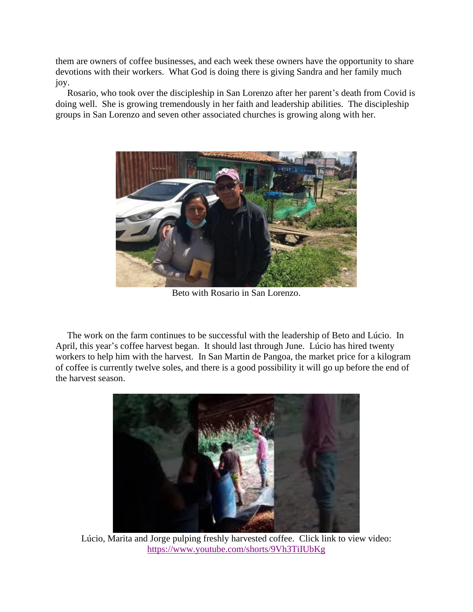them are owners of coffee businesses, and each week these owners have the opportunity to share devotions with their workers. What God is doing there is giving Sandra and her family much joy.

 Rosario, who took over the discipleship in San Lorenzo after her parent's death from Covid is doing well. She is growing tremendously in her faith and leadership abilities. The discipleship groups in San Lorenzo and seven other associated churches is growing along with her.



Beto with Rosario in San Lorenzo.

 The work on the farm continues to be successful with the leadership of Beto and Lúcio. In April, this year's coffee harvest began. It should last through June. Lúcio has hired twenty workers to help him with the harvest. In San Martin de Pangoa, the market price for a kilogram of coffee is currently twelve soles, and there is a good possibility it will go up before the end of the harvest season.



Lúcio, Marita and Jorge pulping freshly harvested coffee. Click link to view video: <https://www.youtube.com/shorts/9Vh3TiIUbKg>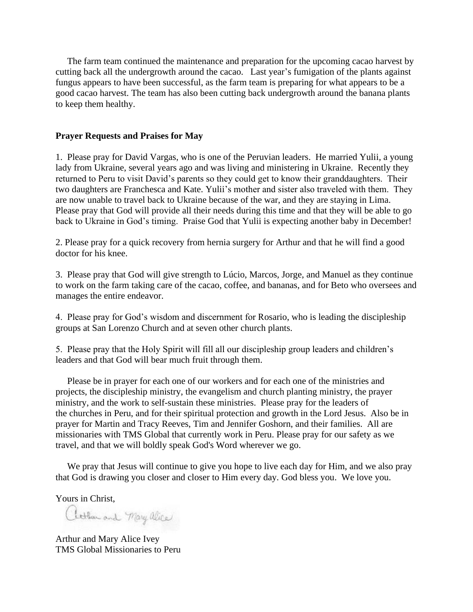The farm team continued the maintenance and preparation for the upcoming cacao harvest by cutting back all the undergrowth around the cacao. Last year's fumigation of the plants against fungus appears to have been successful, as the farm team is preparing for what appears to be a good cacao harvest. The team has also been cutting back undergrowth around the banana plants to keep them healthy.

## **Prayer Requests and Praises for May**

1. Please pray for David Vargas, who is one of the Peruvian leaders. He married Yulii, a young lady from Ukraine, several years ago and was living and ministering in Ukraine. Recently they returned to Peru to visit David's parents so they could get to know their granddaughters. Their two daughters are Franchesca and Kate. Yulii's mother and sister also traveled with them. They are now unable to travel back to Ukraine because of the war, and they are staying in Lima. Please pray that God will provide all their needs during this time and that they will be able to go back to Ukraine in God's timing. Praise God that Yulii is expecting another baby in December!

2. Please pray for a quick recovery from hernia surgery for Arthur and that he will find a good doctor for his knee.

3. Please pray that God will give strength to Lúcio, Marcos, Jorge, and Manuel as they continue to work on the farm taking care of the cacao, coffee, and bananas, and for Beto who oversees and manages the entire endeavor.

4. Please pray for God's wisdom and discernment for Rosario, who is leading the discipleship groups at San Lorenzo Church and at seven other church plants.

5. Please pray that the Holy Spirit will fill all our discipleship group leaders and children's leaders and that God will bear much fruit through them.

 Please be in prayer for each one of our workers and for each one of the ministries and projects, the discipleship ministry, the evangelism and church planting ministry, the prayer ministry, and the work to self-sustain these ministries. Please pray for the leaders of the churches in Peru, and for their spiritual protection and growth in the Lord Jesus. Also be in prayer for Martin and Tracy Reeves, Tim and Jennifer Goshorn, and their families. All are missionaries with TMS Global that currently work in Peru. Please pray for our safety as we travel, and that we will boldly speak God's Word wherever we go.

We pray that Jesus will continue to give you hope to live each day for Him, and we also pray that God is drawing you closer and closer to Him every day. God bless you. We love you.

Yours in Christ,

atten and Mary alice

Arthur and Mary Alice Ivey TMS Global Missionaries to Peru